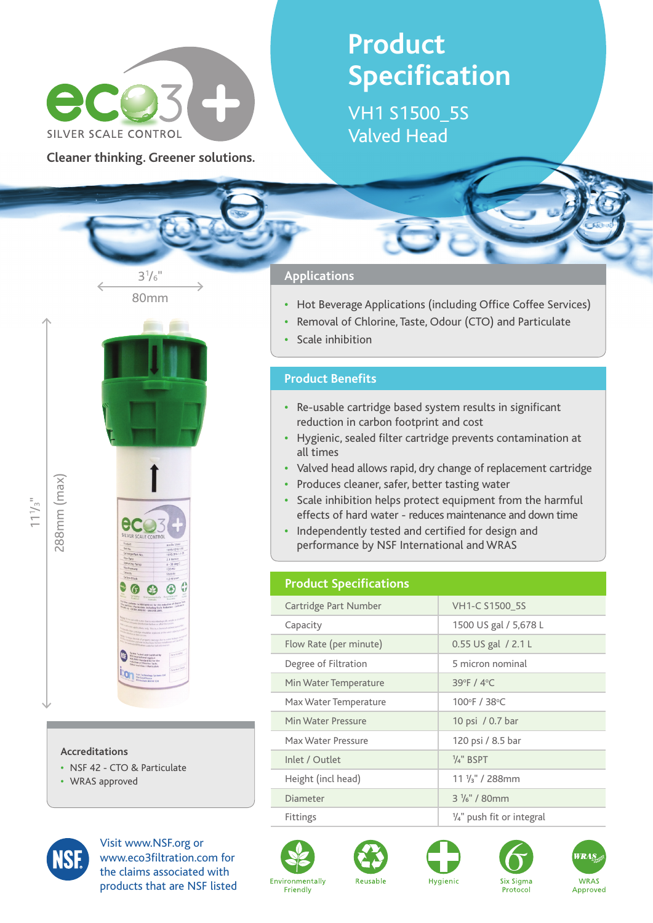

**Cleaner thinking. Greener solutions.**

80mm

 $3^{1}/6$ "

# **Product Specification**

VH1 S1500\_5S Valved Head

### **Applications**

- **•**  Hot Beverage Applications (including Office Coffee Services)
- Removal of Chlorine, Taste, Odour (CTO) and Particulate
- **Scale inhibition**

#### **Product Benefits**

- **•**  Re-usable cartridge based system results in significant reduction in carbon footprint and cost
- **•**  Hygienic, sealed filter cartridge prevents contamination at all times
- **•**  Valved head allows rapid, dry change of replacement cartridge
- **•**  Produces cleaner, safer, better tasting water
- **•**  Scale inhibition helps protect equipment from the harmful effects of hard water - reduces maintenance and down time
- Independently tested and certified for design and performance by NSF International and WRAS

#### **Product Specifications**

| Cartridge Part Number  | VH1-C S1500 5S                       |
|------------------------|--------------------------------------|
| Capacity               | 1500 US gal / 5,678 L                |
| Flow Rate (per minute) | 0.55 US gal / 2.1 L                  |
| Degree of Filtration   | 5 micron nominal                     |
| Min Water Temperature  | 39°F / 4°C                           |
| Max Water Temperature  | 100°F / 38°C                         |
| Min Water Pressure     | 10 psi / 0.7 bar                     |
| Max Water Pressure     | 120 psi / 8.5 bar                    |
| Inlet / Outlet         | $\frac{1}{4}$ " BSPT                 |
| Height (incl head)     | $11\frac{1}{3}$ " / 288mm            |
| Diameter               | $3\frac{1}{6}$ " / 80mm              |
| <b>Fittings</b>        | $\frac{1}{4}$ " push fit or integral |



**Accreditations**

**•**  WRAS approved

**•**  NSF 42 - CTO & Particulate

ecc

 $\circledR$  $\mathbf{e}$ 

Visit www.NSF.org or www.eco3filtration.com for the claims associated with products that are NSF listed









Protocol



288mm (max)

288mm (max)